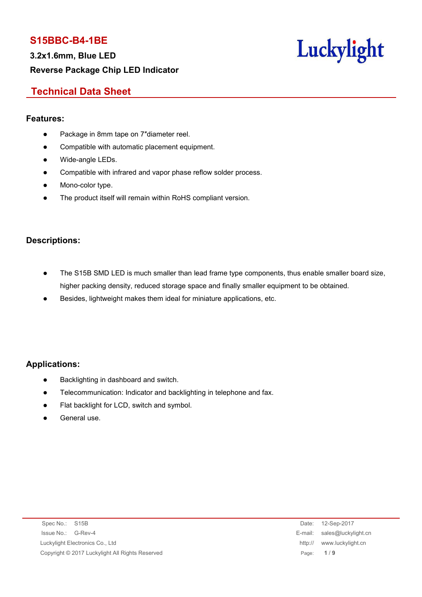**3.2x1.6mm, Blue LED Reverse Package Chip LED Indicator**



# **Technical Data Sheet**

#### **Features:**

- Package in 8mm tape on 7"diameter reel.
- Compatible with automatic placement equipment.
- Wide-angle LEDs.
- Compatible with infrared and vapor phase reflow solder process.
- Mono-color type.
- The product itself will remain within RoHS compliant version.

#### **Descriptions:**

- The S15B SMD LED is much smaller than lead frame type components, thus enable smaller board size, higher packing density, reduced storage space and finally smaller equipment to be obtained.
- Besides, lightweight makes them ideal for miniature applications, etc.

#### **Applications:**

- Backlighting in dashboard and switch.
- Telecommunication: Indicator and backlighting in telephone and fax.
- Flat backlight for LCD, switch and symbol.
- General use.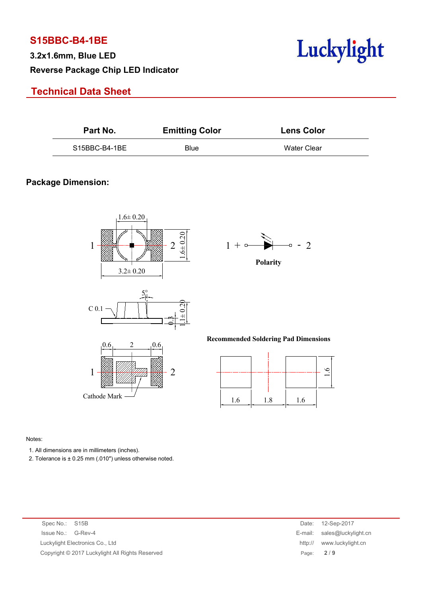**3.2x1.6mm, Blue LED Reverse Package Chip LED Indicator**

# **Technical Data Sheet**



| Part No.      | <b>Emitting Color</b> | <b>Lens Color</b> |  |
|---------------|-----------------------|-------------------|--|
| S15BBC-B4-1BE | <b>Blue</b>           | Water Clear       |  |

#### **Package Dimension:**





**Polarity**

**Recommended Soldering Pad Dimensions**



#### Notes:

1. All dimensions are in millimeters (inches).

2. Tolerance is  $\pm$  0.25 mm (.010") unless otherwise noted.

| Spec No.: S15B                                  | 12-Sep-2017<br>Date:        |
|-------------------------------------------------|-----------------------------|
| Issue No.: G-Rev-4                              | E-mail: sales@luckylight.cn |
| Luckylight Electronics Co., Ltd                 | http:// www.luckylight.cn   |
| Copyright © 2017 Luckylight All Rights Reserved | Page: $2/9$                 |
|                                                 |                             |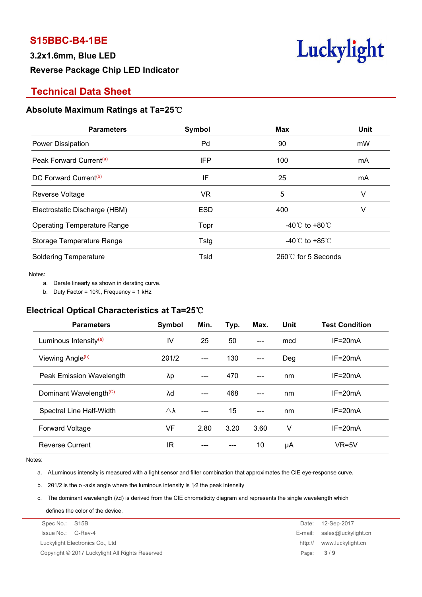# **3.2x1.6mm, Blue LED Reverse Package Chip LED Indicator**



# **Technical Data Sheet**

#### **Absolute Maximum Ratings at Ta=25**℃

| <b>Parameters</b>                   | Symbol     | <b>Max</b>                         | Unit |
|-------------------------------------|------------|------------------------------------|------|
| Power Dissipation                   | Pd         | 90                                 | mW   |
| Peak Forward Current <sup>(a)</sup> | IFP        | 100                                | mA   |
| DC Forward Current <sup>(b)</sup>   | IF         | 25                                 | mA   |
| Reverse Voltage                     | <b>VR</b>  | 5                                  | V    |
| Electrostatic Discharge (HBM)       | <b>ESD</b> | 400                                | V    |
| <b>Operating Temperature Range</b>  | Topr       | -40℃ to +80℃                       |      |
| Storage Temperature Range           | Tstg       | -40 $\degree$ C to +85 $\degree$ C |      |
| <b>Soldering Temperature</b>        | Tsld       | 260℃ for 5 Seconds                 |      |
|                                     |            |                                    |      |

Notes:<br>a. Derate linearly as shown in derating curve.

b. Duty Factor = 10%, Frequency = 1 kHz

## **Electrical Optical Characteristics at Ta=25**℃

| <b>Parameters</b>                  | Symbol                | Min.  | Typ. | Max.  | Unit | <b>Test Condition</b> |
|------------------------------------|-----------------------|-------|------|-------|------|-----------------------|
| Luminous Intensity <sup>(a)</sup>  | IV                    | 25    | 50   | $---$ | mcd  | $IF = 20mA$           |
| Viewing Angle <sup>(b)</sup>       | 201/2                 | ---   | 130  | $---$ | Deg  | $IF = 20mA$           |
| Peak Emission Wavelength           | λp                    | $---$ | 470  | $---$ | nm   | $IF = 20mA$           |
| Dominant Wavelength <sup>(C)</sup> | λd                    | ---   | 468  | $---$ | nm   | $IF = 20mA$           |
| Spectral Line Half-Width           | $\triangle$ $\lambda$ | ---   | 15   | $---$ | nm   | $IF = 20mA$           |
| <b>Forward Voltage</b>             | VF                    | 2.80  | 3.20 | 3.60  | v    | $IF = 20mA$           |
| <b>Reverse Current</b>             | IR                    | ---   | ---  | 10    | μA   | $VR=5V$               |

Notes:

a. ALuminous intensity is measured with a light sensor and filter combination that approximates the CIE eye-response curve.

b. 2θ1/2 is the o -axis angle where the luminous intensity is 1⁄2 the peak intensity

c. The dominant wavelength (λd) is derived from the CIE chromaticity diagram and represents the single wavelength which

defines the color of the device.

| Spec No.: S15B                                  | Date:   | 12-Sep-2017                 |
|-------------------------------------------------|---------|-----------------------------|
| Issue No.: G-Rev-4                              |         | E-mail: sales@luckylight.cn |
| Luckylight Electronics Co., Ltd                 | http:// | www.luckylight.cn           |
| Copyright © 2017 Luckylight All Rights Reserved |         | Page: $3/9$                 |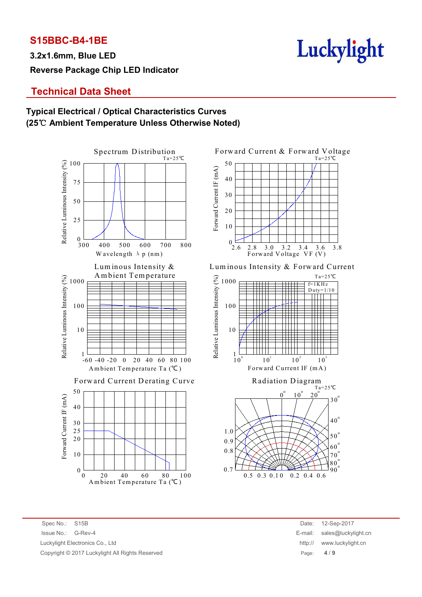**3.2x1.6mm, Blue LED Reverse Package Chip LED Indicator**



# **Technical Data Sheet**

### **Typical Electrical / Optical Characteristics Curves (25**℃ **Ambient Temperature Unless Otherwise Noted)**





Lum inous Intensity & Lum inous Intensity & Forward Current





Spec No.: S15B Date: 12-Sep-2017 Issue No.: G-Rev-4 E-mail: sales@luckylight.cn Luckylight Electronics Co., Ltd Copyright © 2017 Luckylight All Rights Reserved

| Date:   | 12-Sep-2017         |
|---------|---------------------|
| E-mail: | sales@luckylight.cn |
| http:// | www.luckylight.cn   |
| Page:   | 4/9                 |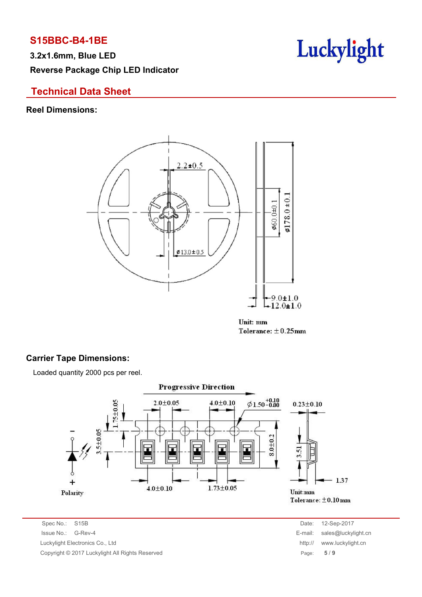**3.2x1.6mm, Blue LED Reverse Package Chip LED Indicator**



## **Technical Data Sheet**

#### **Reel Dimensions:**



Unit: mm Tolerance:  $\pm$  0.25mm

#### **Carrier Tape Dimensions:**

Loaded quantity 2000 pcs per reel.



Spec No.: S15B Date: 12-Sep-2017 Issue No.: G-Rev-4 E-mail: sales@luckylight.cn Luckylight Electronics Co., Ltd http:// www.luckylight.cn Copyright © 2017 Luckylight All Rights Reserved Page: **5** / **9**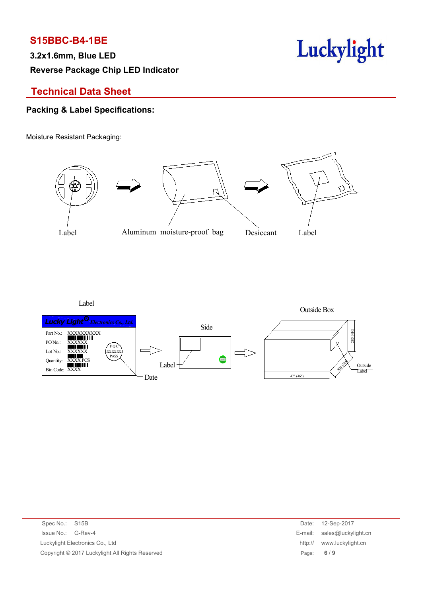**3.2x1.6mm, Blue LED Reverse Package Chip LED Indicator**



# **Technical Data Sheet**

## **Packing & Label Specifications:**

Moisture Resistant Packaging:



Label



| Spec No.: S15B                                  | Date:   | 12-Sep-2017                 |
|-------------------------------------------------|---------|-----------------------------|
| Issue No.: G-Rev-4                              |         | E-mail: sales@luckylight.cn |
| Luckylight Electronics Co., Ltd                 | http:// | www.luckylight.cn           |
| Copyright © 2017 Luckylight All Rights Reserved |         | Page: $6/9$                 |
|                                                 |         |                             |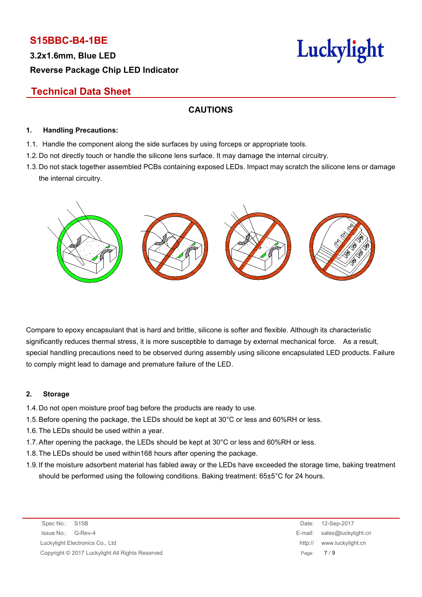**3.2x1.6mm, Blue LED Reverse Package Chip LED Indicator**

# Luckylight

# **Technical Data Sheet**

## **CAUTIONS**

#### **1. Handling Precautions:**

- 1.1. Handle the component along the side surfaces by using forceps or appropriate tools.
- 1.2. Do not directly touch or handle the silicone lens surface. It may damage the internal circuitry.
- 1.3. Do not stack together assembled PCBs containing exposed LEDs. Impact may scratch the silicone lens or damage the internal circuitry.



Compare to epoxy encapsulant that is hard and brittle, silicone is softer and flexible. Although its characteristic significantly reduces thermal stress, it is more susceptible to damage by external mechanical force. As a result, special handling precautions need to be observed during assembly using silicone encapsulated LED products. Failure to comply might lead to damage and premature failure of the LED.

#### **2. Storage**

- 1.4.Do not open moisture proof bag before the products are ready to use.
- 1.5.Before opening the package, the LEDs should be kept at 30°C or less and 60%RH or less.
- 1.6.The LEDs should be used within a year.
- 1.7.After opening the package, the LEDs should be kept at 30°C or less and 60%RH or less.
- 1.8.The LEDs should be used within168 hours after opening the package.
- 1.9.If the moisture adsorbent material has fabled away or the LEDs have exceeded the storage time, baking treatment should be performed using the following conditions. Baking treatment: 65±5°C for 24 hours.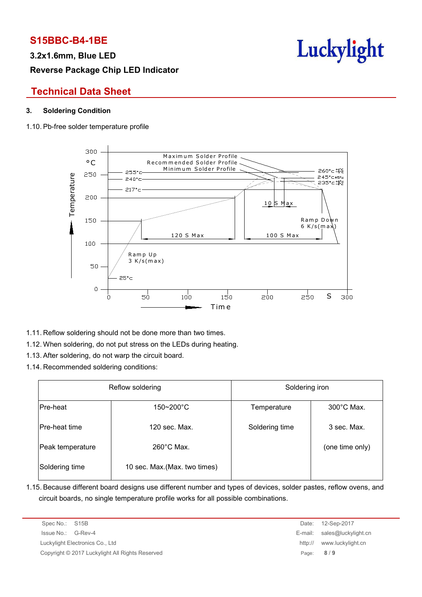**3.2x1.6mm, Blue LED**

# **Reverse Package Chip LED Indicator**



## **Technical Data Sheet**

#### **3. Soldering Condition**

#### 1.10. Pb-free solder temperature profile



- 1.11. Reflow soldering should not be done more than two times.
- 1.12. When soldering, do not put stress on the LEDs during heating.
- 1.13. After soldering, do not warp the circuit board.
- 1.14. Recommended soldering conditions:

| Reflow soldering |                               | Soldering iron |                      |  |
|------------------|-------------------------------|----------------|----------------------|--|
| Pre-heat         | 150~200°C                     | Temperature    | $300^{\circ}$ C Max. |  |
| Pre-heat time    | 120 sec. Max.                 | Soldering time | 3 sec. Max.          |  |
| Peak temperature | $260^{\circ}$ C Max.          |                | (one time only)      |  |
| Soldering time   | 10 sec. Max. (Max. two times) |                |                      |  |

1.15. Because different board designs use different number and types of devices, solder pastes, reflow ovens, and circuit boards, no single temperature profile works for all possible combinations.